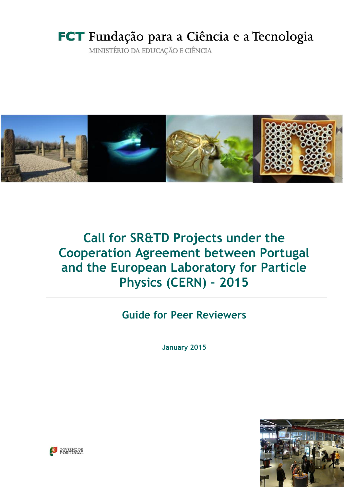# FCT Fundação para a Ciência e a Tecnologia

MINISTÉRIO DA EDUCAÇÃO E CIÊNCIA



# **Call for SR&TD Projects under the Cooperation Agreement between Portugal and the European Laboratory for Particle Physics (CERN) – 2015**

# **Guide for Peer Reviewers**

**January 2015**



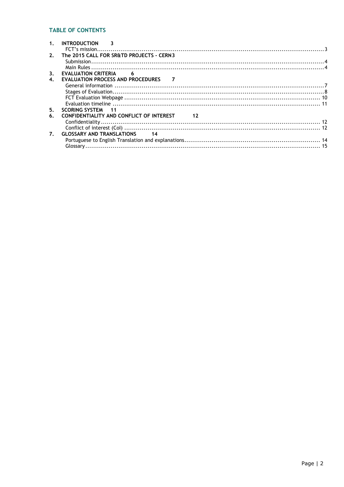# **TABLE OF CONTENTS**

|                    | <b>INTRODUCTION</b><br>$\overline{\phantom{a}}$                         |  |
|--------------------|-------------------------------------------------------------------------|--|
|                    |                                                                         |  |
| 2.                 | The 2015 CALL FOR SR&TD PROJECTS - CERN3                                |  |
|                    |                                                                         |  |
|                    |                                                                         |  |
| 3 <sub>1</sub>     | <b>EVALUATION CRITERIA</b><br>$\overline{\phantom{0}}$ 6                |  |
| $\boldsymbol{4}$ . | EVALUATION PROCESS AND PROCEDURES 7                                     |  |
|                    |                                                                         |  |
|                    |                                                                         |  |
|                    |                                                                         |  |
|                    |                                                                         |  |
| 5.                 | <b>SCORING SYSTEM 11</b>                                                |  |
| 6.                 | CONFIDENTIALITY AND CONFLICT OF INTEREST<br>$\overline{\phantom{1}}$ 12 |  |
|                    |                                                                         |  |
|                    |                                                                         |  |
| $\mathbf{7}$ .     | <b>GLOSSARY AND TRANSLATIONS</b> 14                                     |  |
|                    |                                                                         |  |
|                    |                                                                         |  |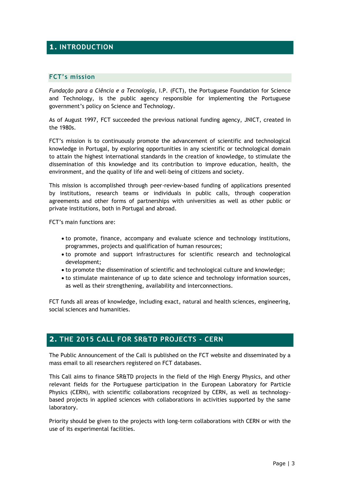# **1. INTRODUCTION**

## **FCT's mission**

*Fundação para a Ciência e a Tecnologia*, I.P. (FCT), the Portuguese Foundation for Science and Technology, is the public agency responsible for implementing the Portuguese government's policy on Science and Technology.

As of August 1997, FCT succeeded the previous national funding agency, JNICT, created in the 1980s.

FCT's mission is to continuously promote the advancement of scientific and technological knowledge in Portugal, by exploring opportunities in any scientific or technological domain to attain the highest international standards in the creation of knowledge, to stimulate the dissemination of this knowledge and its contribution to improve education, health, the environment, and the quality of life and well-being of citizens and society.

This mission is accomplished through peer-review-based funding of applications presented by institutions, research teams or individuals in public calls, through cooperation agreements and other forms of partnerships with universities as well as other public or private institutions, both in Portugal and abroad.

FCT's main functions are:

- to promote, finance, accompany and evaluate science and technology institutions, programmes, projects and qualification of human resources;
- to promote and support infrastructures for scientific research and technological development;
- to promote the dissemination of scientific and technological culture and knowledge;
- to stimulate maintenance of up to date science and technology information sources, as well as their strengthening, availability and interconnections.

FCT funds all areas of knowledge, including exact, natural and health sciences, engineering, social sciences and humanities.

# **2. THE 2015 CALL FOR SR&TD PROJECTS - CERN**

The Public Announcement of the Call is published on the FCT website and disseminated by a mass email to all researchers registered on FCT databases.

This Call aims to finance SR&TD projects in the field of the High Energy Physics, and other relevant fields for the Portuguese participation in the European Laboratory for Particle Physics (CERN), with scientific collaborations recognized by CERN, as well as technologybased projects in applied sciences with collaborations in activities supported by the same laboratory.

Priority should be given to the projects with long-term collaborations with CERN or with the use of its experimental facilities.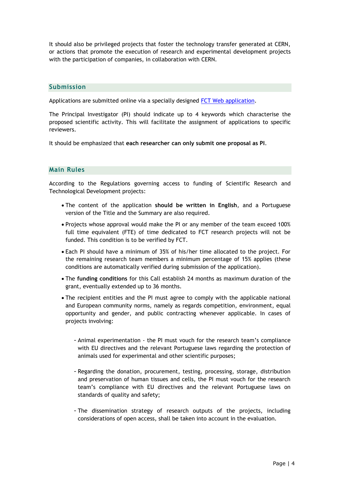It should also be privileged projects that foster the technology transfer generated at CERN, or actions that promote the execution of research and experimental development projects with the participation of companies, in collaboration with CERN.

## **Submission**

Applications are submitted online via a specially designed [FCT Web application.](https://concursos.fct.pt/projectos/)

The Principal Investigator (PI) should indicate up to 4 keywords which characterise the proposed scientific activity. This will facilitate the assignment of applications to specific reviewers.

It should be emphasized that **each researcher can only submit one proposal as PI**.

# **Main Rules**

According to the Regulations governing access to funding of Scientific Research and Technological Development projects:

- The content of the application **should be written in English**, and a Portuguese version of the Title and the Summary are also required.
- Projects whose approval would make the PI or any member of the team exceed 100% full time equivalent (FTE) of time dedicated to FCT research projects will not be funded. This condition is to be verified by FCT.
- Each PI should have a minimum of 35% of his/her time allocated to the project. For the remaining research team members a minimum percentage of 15% applies (these conditions are automatically verified during submission of the application).
- The **funding conditions** for this Call establish 24 months as maximum duration of the grant, eventually extended up to 36 months.
- The recipient entities and the PI must agree to comply with the applicable national and European community norms, namely as regards competition, environment, equal opportunity and gender, and public contracting whenever applicable. In cases of projects involving:
	- Animal experimentation the PI must vouch for the research team's compliance with EU directives and the relevant Portuguese laws regarding the protection of animals used for experimental and other scientific purposes;
	- Regarding the donation, procurement, testing, processing, storage, distribution and preservation of human tissues and cells, the PI must vouch for the research team's compliance with EU directives and the relevant Portuguese laws on standards of quality and safety;
	- The dissemination strategy of research outputs of the projects, including considerations of open access, shall be taken into account in the evaluation.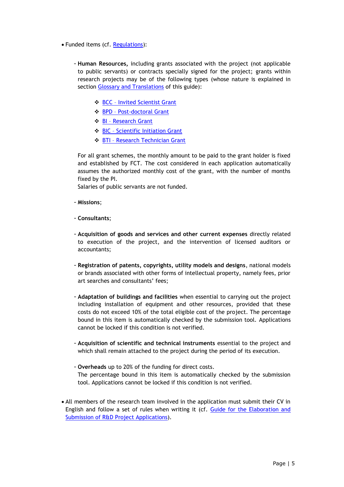- Funded items (cf. [Regulations\)](http://www.fct.pt/apoios/projectos/regulamento.phtml.en):
	- **Human Resources,** including grants associated with the project (not applicable to public servants) or contracts specially signed for the project; grants within research projects may be of the following types (whose nature is explained in section [Glossary and Translations](#page-13-0) of this guide):
		- $\cdot$  BCC [Invited Scientist Grant](http://www.fct.pt/apoios/bolsas/regulamento.phtml.en#BCC)
		- ◆ BPD [Post-doctoral Grant](http://www.fct.pt/apoios/bolsas/regulamento.phtml.en#BPD)
		- ◆ BI [Research Grant](http://www.fct.pt/apoios/bolsas/regulamento.phtml.en#BI)
		- BIC [Scientific Initiation Grant](http://www.fct.pt/apoios/bolsas/regulamento.phtml.en#BIC)
		- BTI [Research Technician Grant](http://www.fct.pt/apoios/bolsas/regulamento.phtml.en#BTI)

For all grant schemes, the monthly amount to be paid to the grant holder is fixed and established by FCT. The cost considered in each application automatically assumes the authorized monthly cost of the grant, with the number of months fixed by the PI.

Salaries of public servants are not funded.

- **Missions**;
- **Consultants**;
- **Acquisition of goods and services and other current expenses** directly related to execution of the project, and the intervention of licensed auditors or accountants;
- **Registration of patents, copyrights, utility models and designs**, national models or brands associated with other forms of intellectual property, namely fees, prior art searches and consultants' fees;
- **Adaptation of buildings and facilities** when essential to carrying out the project including installation of equipment and other resources, provided that these costs do not exceed 10% of the total eligible cost of the project. The percentage bound in this item is automatically checked by the submission tool. Applications cannot be locked if this condition is not verified.
- **Acquisition of scientific and technical instruments** essential to the project and which shall remain attached to the project during the period of its execution.
- **Overheads** up to 20% of the funding for direct costs. The percentage bound in this item is automatically checked by the submission tool. Applications cannot be locked if this condition is not verified.
- All members of the research team involved in the application must submit their CV in English and follow a set of rules when writing it (cf. [Guide for the Elaboration and](http://www.fct.pt/apoios/projectos/concursos/2014/docs/ApplicationGuide_C2014_en.pdf)  [Submission of R&D Project Applications\)](http://www.fct.pt/apoios/projectos/concursos/2014/docs/ApplicationGuide_C2014_en.pdf).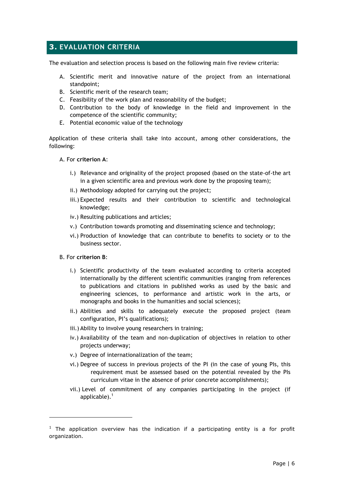# **3. EVALUATION CRITERIA**

The evaluation and selection process is based on the following main five review criteria:

- A. Scientific merit and innovative nature of the project from an international standpoint;
- B. Scientific merit of the research team;
- C. Feasibility of the work plan and reasonability of the budget;
- D. Contribution to the body of knowledge in the field and improvement in the competence of the scientific community;
- E. Potential economic value of the technology

Application of these criteria shall take into account, among other considerations, the following:

## A. For **criterion A**:

- i.) Relevance and originality of the project proposed (based on the state-of-the art in a given scientific area and previous work done by the proposing team);
- ii.) Methodology adopted for carrying out the project;
- iii.) Expected results and their contribution to scientific and technological knowledge;
- iv.) Resulting publications and articles;
- v.) Contribution towards promoting and disseminating science and technology;
- vi.) Production of knowledge that can contribute to benefits to society or to the business sector.
- B. For **criterion B**:

-

- i.) Scientific productivity of the team evaluated according to criteria accepted internationally by the different scientific communities (ranging from references to publications and citations in published works as used by the basic and engineering sciences, to performance and artistic work in the arts, or monographs and books in the humanities and social sciences);
- ii.) Abilities and skills to adequately execute the proposed project (team configuration, PI's qualifications);
- iii.) Ability to involve young researchers in training;
- iv.) Availability of the team and non-duplication of objectives in relation to other projects underway;
- v.) Degree of internationalization of the team;
- vi.) Degree of success in previous projects of the PI (in the case of young PIs, this requirement must be assessed based on the potential revealed by the PIs curriculum vitae in the absence of prior concrete accomplishments);
- vii.) Level of commitment of any companies participating in the project (if applicable). $<sup>1</sup>$ </sup>

 $<sup>1</sup>$  The application overview has the indication if a participating entity is a for profit</sup> organization.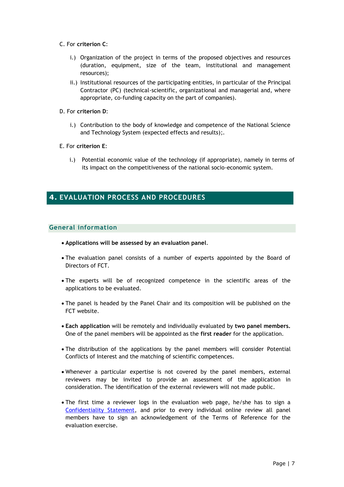- C. For **criterion C**:
	- i.) Organization of the project in terms of the proposed objectives and resources (duration, equipment, size of the team, institutional and management resources);
	- ii.) Institutional resources of the participating entities, in particular of the Principal Contractor (PC) (technical-scientific, organizational and managerial and, where appropriate, co-funding capacity on the part of companies).
- D. For **criterion D**:
	- i.) Contribution to the body of knowledge and competence of the National Science and Technology System (expected effects and results);.
- E. For **criterion E**:
	- i.) Potential economic value of the technology (if appropriate), namely in terms of its impact on the competitiveness of the national socio-economic system.

# **4. EVALUATION PROCESS AND PROCEDURES**

## **General information**

- **Applications will be assessed by an evaluation panel**.
- The evaluation panel consists of a number of experts appointed by the Board of Directors of FCT.
- The experts will be of recognized competence in the scientific areas of the applications to be evaluated.
- The panel is headed by the Panel Chair and its composition will be published on the FCT website.
- **Each application** will be remotely and individually evaluated by **two panel members.**  One of the panel members will be appointed as the **first reader** for the application.
- The distribution of the applications by the panel members will consider Potential Conflicts of Interest and the matching of scientific competences.
- Whenever a particular expertise is not covered by the panel members, external reviewers may be invited to provide an assessment of the application in consideration. The identification of the external reviewers will not made public.
- The first time a reviewer logs in the evaluation web page, he/she has to sign a [Confidentiality Statement,](#page-11-0) and prior to every individual online review all panel members have to sign an acknowledgement of the Terms of Reference for the evaluation exercise.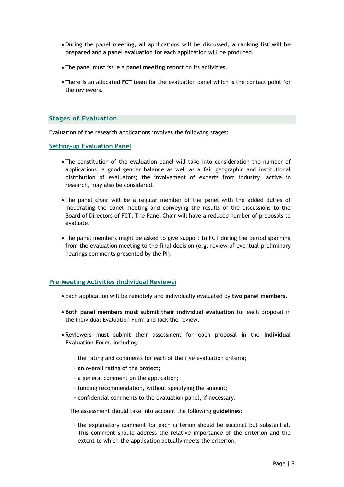- During the panel meeting, **all** applications will be discussed, **a ranking list will be prepared** and a **panel evaluation** for each application will be produced.
- The panel must issue a **panel meeting report** on its activities.
- There is an allocated FCT team for the evaluation panel which is the contact point for the reviewers.

### **Stages of Evaluation**

Evaluation of the research applications involves the following stages:

**Setting-up Evaluation Panel**

- The constitution of the evaluation panel will take into consideration the number of applications, a good gender balance as well as a fair geographic and institutional distribution of evaluators; the involvement of experts from industry, active in research, may also be considered.
- The panel chair will be a regular member of the panel with the added duties of moderating the panel meeting and conveying the results of the discussions to the Board of Directors of FCT. The Panel Chair will have a reduced number of proposals to evaluate.
- The panel members might be asked to give support to FCT during the period spanning from the evaluation meeting to the final decision (e.g, review of eventual preliminary hearings comments presented by the PI).

#### **Pre-Meeting Activities (Individual Reviews)**

- Each application will be remotely and individually evaluated by **two panel members**.
- **Both panel members must submit their individual evaluation** for each proposal in the Individual Evaluation Form and lock the review.
- Reviewers must submit their assessment for each proposal in the **Individual Evaluation Form**, including:
	- the rating and comments for each of the five evaluation criteria;
	- an overall rating of the project;
	- a general comment on the application;
	- funding recommendation, without specifying the amount;
	- confidential comments to the evaluation panel, if necessary.

The assessment should take into account the following **guidelines**:

- the explanatory comment for each criterion should be succinct but substantial. This comment should address the relative importance of the criterion and the extent to which the application actually meets the criterion;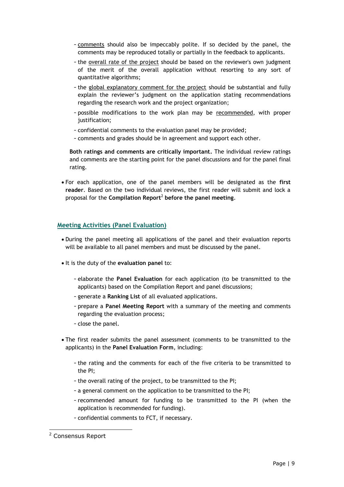- comments should also be impeccably polite. If so decided by the panel, the comments may be reproduced totally or partially in the feedback to applicants.
- the overall rate of the project should be based on the reviewer's own judgment of the merit of the overall application without resorting to any sort of quantitative algorithms;
- the global explanatory comment for the project should be substantial and fully explain the reviewer's judgment on the application stating recommendations regarding the research work and the project organization;
- possible modifications to the work plan may be recommended, with proper justification;
- confidential comments to the evaluation panel may be provided;
- comments and grades should be in agreement and support each other.

**Both ratings and comments are critically important.** The individual review ratings and comments are the starting point for the panel discussions and for the panel final rating.

 For each application, one of the panel members will be designated as the **first reader**. Based on the two individual reviews, the first reader will submit and lock a proposal for the **Compilation Report**<sup>2</sup> **before the panel meeting**.

# **Meeting Activities (Panel Evaluation)**

- During the panel meeting all applications of the panel and their evaluation reports will be available to all panel members and must be discussed by the panel.
- It is the duty of the **evaluation panel** to:
	- elaborate the **Panel Evaluation** for each application (to be transmitted to the applicants) based on the Compilation Report and panel discussions;
	- generate a **Ranking List** of all evaluated applications.
	- prepare a **Panel Meeting Report** with a summary of the meeting and comments regarding the evaluation process;
	- close the panel.
- The first reader submits the panel assessment (comments to be transmitted to the applicants) in the **Panel Evaluation Form**, including:
	- the rating and the comments for each of the five criteria to be transmitted to the PI;
	- the overall rating of the project, to be transmitted to the PI;
	- a general comment on the application to be transmitted to the PI;
	- recommended amount for funding to be transmitted to the PI (when the application is recommended for funding).
	- confidential comments to FCT, if necessary.

-

<sup>2</sup> Consensus Report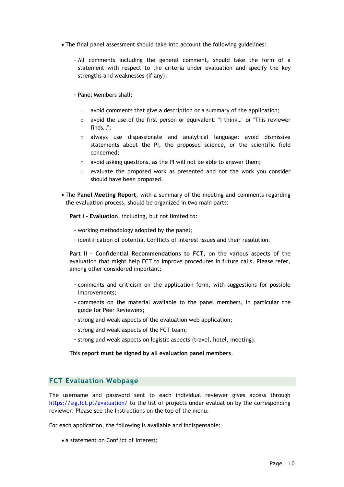- The final panel assessment should take into account the following guidelines:
	- All comments including the general comment, should take the form of a statement with respect to the criteria under evaluation and specify the key strengths and weaknesses (if any).
	- Panel Members shall:
		- o avoid comments that give a description or a summary of the application;
		- $\circ$  avoid the use of the first person or equivalent: "I think..." or "This reviewer finds…";
		- $\circ$  always use dispassionate and analytical language: avoid dismissive statements about the PI, the proposed science, or the scientific field concerned;
		- o avoid asking questions, as the PI will not be able to answer them;
		- $\circ$  evaluate the proposed work as presented and not the work you consider should have been proposed.
- The **Panel Meeting Report**, with a summary of the meeting and comments regarding the evaluation process, should be organized in two main parts:

**Part I – Evaluation**, including, but not limited to:

- working methodology adopted by the panel;
- identification of potential Conflicts of Interest issues and their resolution.

**Part II – Confidential Recommendations to FCT**, on the various aspects of the evaluation that might help FCT to improve procedures in future calls. Please refer, among other considered important:

- comments and criticism on the application form, with suggestions for possible improvements;
- comments on the material available to the panel members, in particular the guide for Peer Reviewers;
- strong and weak aspects of the evaluation web application;
- strong and weak aspects of the FCT team;
- strong and weak aspects on logistic aspects (travel, hotel, meeting).

This **report must be signed by all evaluation panel members**.

# **FCT Evaluation Webpage**

The username and password sent to each individual reviewer gives access through <https://sig.fct.pt/evaluation/> to the list of projects under evaluation by the corresponding reviewer. Please see the Instructions on the top of the menu.

For each application, the following is available and indispensable:

• a statement on Conflict of Interest;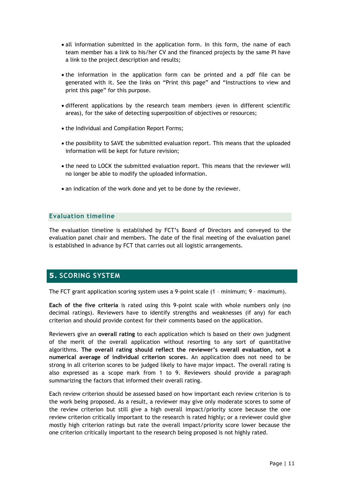- all information submitted in the application form. In this form, the name of each team member has a link to his/her CV and the financed projects by the same PI have a link to the project description and results;
- the information in the application form can be printed and a pdf file can be generated with it. See the links on "Print this page" and "Instructions to view and print this page" for this purpose.
- different applications by the research team members (even in different scientific areas), for the sake of detecting superposition of objectives or resources;
- the Individual and Compilation Report Forms;
- the possibility to SAVE the submitted evaluation report. This means that the uploaded information will be kept for future revision;
- the need to LOCK the submitted evaluation report. This means that the reviewer will no longer be able to modify the uploaded information.
- an indication of the work done and yet to be done by the reviewer.

# **Evaluation timeline**

The evaluation timeline is established by FCT's Board of Directors and conveyed to the evaluation panel chair and members. The date of the final meeting of the evaluation panel is established in advance by FCT that carries out all logistic arrangements.

# **5. SCORING SYSTEM**

The FCT grant application scoring system uses a 9-point scale (1 – minimum; 9 – maximum).

**Each of the five criteria** is rated using this 9-point scale with whole numbers only (no decimal ratings). Reviewers have to identify strengths and weaknesses (if any) for each criterion and should provide context for their comments based on the application.

Reviewers give an **overall rating** to each application which is based on their own judgment of the merit of the overall application without resorting to any sort of quantitative algorithms. **The overall rating should reflect the reviewer's overall evaluation, not a numerical average of individual criterion scores**. An application does not need to be strong in all criterion scores to be judged likely to have major impact. The overall rating is also expressed as a scope mark from 1 to 9. Reviewers should provide a paragraph summarizing the factors that informed their overall rating.

Each review criterion should be assessed based on how important each review criterion is to the work being proposed. As a result, a reviewer may give only moderate scores to some of the review criterion but still give a high overall impact/priority score because the one review criterion critically important to the research is rated highly; or a reviewer could give mostly high criterion ratings but rate the overall impact/priority score lower because the one criterion critically important to the research being proposed is not highly rated.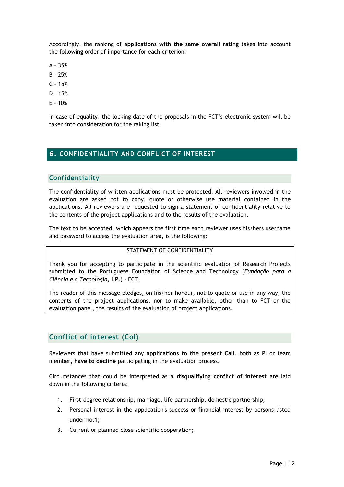Accordingly, the ranking of **applications with the same overall rating** takes into account the following order of importance for each criterion:

- A 35%
- B 25%
- $C 15%$
- D 15%
- E 10%

In case of equality, the locking date of the proposals in the FCT's electronic system will be taken into consideration for the raking list.

# **6. CONFIDENTIALITY AND CONFLICT OF INTEREST**

# <span id="page-11-0"></span>**Confidentiality**

The confidentiality of written applications must be protected. All reviewers involved in the evaluation are asked not to copy, quote or otherwise use material contained in the applications. All reviewers are requested to sign a statement of confidentiality relative to the contents of the project applications and to the results of the evaluation.

The text to be accepted, which appears the first time each reviewer uses his/hers username and password to access the evaluation area, is the following:

## STATEMENT OF CONFIDENTIALITY

Thank you for accepting to participate in the scientific evaluation of Research Projects submitted to the Portuguese Foundation of Science and Technology (*Fundação para a Ciência e a Tecnologia*, I.P.) – FCT.

The reader of this message pledges, on his/her honour, not to quote or use in any way, the contents of the project applications, nor to make available, other than to FCT or the evaluation panel, the results of the evaluation of project applications.

# **Conflict of interest (CoI)**

Reviewers that have submitted any **applications to the present Call**, both as PI or team member, **have to decline** participating in the evaluation process.

Circumstances that could be interpreted as a **disqualifying conflict of interest** are laid down in the following criteria:

- 1. First-degree relationship, marriage, life partnership, domestic partnership;
- 2. Personal interest in the application's success or financial interest by persons listed under no.1;
- 3. Current or planned close scientific cooperation;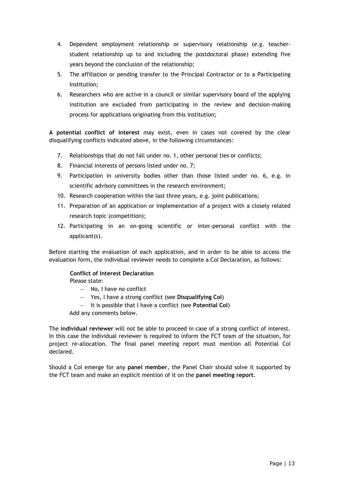- 4. Dependent employment relationship or supervisory relationship (*e.g.* teacherstudent relationship up to and including the postdoctoral phase) extending five years beyond the conclusion of the relationship;
- 5. The affiliation or pending transfer to the Principal Contractor or to a Participating Institution;
- 6. Researchers who are active in a council or similar supervisory board of the applying institution are excluded from participating in the review and decision-making process for applications originating from this institution;

**A potential conflict of interest** may exist, even in cases not covered by the clear disqualifying conflicts indicated above, in the following circumstances:

- 7. Relationships that do not fall under no. 1, other personal ties or conflicts;
- 8. Financial interests of persons listed under no. 7;
- 9. Participation in university bodies other than those listed under no. 6, e.g. in scientific advisory committees in the research environment;
- 10. Research cooperation within the last three years, e.g. joint publications;
- 11. Preparation of an application or implementation of a project with a closely related research topic (competition);
- 12. Participating in an on-going scientific or inter-personal conflict with the applicant(s).

Before starting the evaluation of each application, and in order to be able to access the evaluation form, the individual reviewer needs to complete a CoI Declaration, as follows:

## **Conflict of Interest Declaration**

Please state:

- No. I have no conflict
- Yes, I have a strong conflict (see **Disqualifying CoI**)
- It is possible that I have a conflict (see **Potential CoI**)

Add any comments below.

The **individual reviewer** will not be able to proceed in case of a strong conflict of interest. In this case the individual reviewer is required to inform the FCT team of the situation, for project re-allocation. The final panel meeting report must mention all Potential CoI declared.

Should a CoI emerge for any **panel member**, the Panel Chair should solve it supported by the FCT team and make an explicit mention of it on the **panel meeting report**.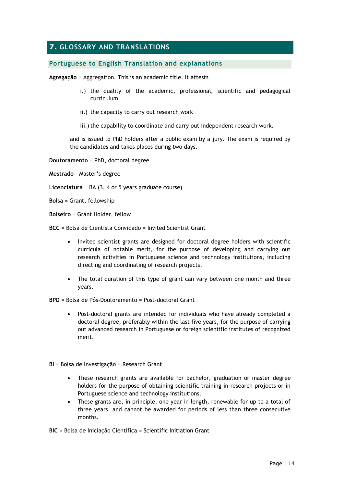# <span id="page-13-0"></span>**7. GLOSSARY AND TRANSLATIONS**

## **Portuguese to English Translation and explanations**

**Agregação** = Aggregation. This is an academic title. It attests

- i.) the quality of the academic, professional, scientific and pedagogical curriculum
- ii.) the capacity to carry out research work
- iii.) the capability to coordinate and carry out independent research work.

and is issued to PhD holders after a public exam by a jury. The exam is required by the candidates and takes places during two days.

**Doutoramento** = PhD, doctoral degree

**Mestrado** – Master's degree

- **Licenciatura** = BA (3, 4 or 5 years graduate course)
- **Bolsa** = Grant, fellowship
- **Bolseiro** = Grant Holder, fellow
- **BCC** = Bolsa de Cientista Convidado = Invited Scientist Grant
	- Invited scientist grants are designed for doctoral degree holders with scientific curricula of notable merit, for the purpose of developing and carrying out research activities in Portuguese science and technology institutions, including directing and coordinating of research projects.
	- The total duration of this type of grant can vary between one month and three years.
- **BPD** = Bolsa de Pós-Doutoramento = Post-doctoral Grant
	- Post-doctoral grants are intended for individuals who have already completed a doctoral degree, preferably within the last five years, for the purpose of carrying out advanced research in Portuguese or foreign scientific institutes of recognized merit.
- **BI** = Bolsa de Investigação = Research Grant
	- These research grants are available for bachelor, graduation or master degree holders for the purpose of obtaining scientific training in research projects or in Portuguese science and technology institutions.
	- These grants are, in principle, one year in length, renewable for up to a total of three years, and cannot be awarded for periods of less than three consecutive months.

**BIC** = Bolsa de Iniciação Científica = Scientific Initiation Grant